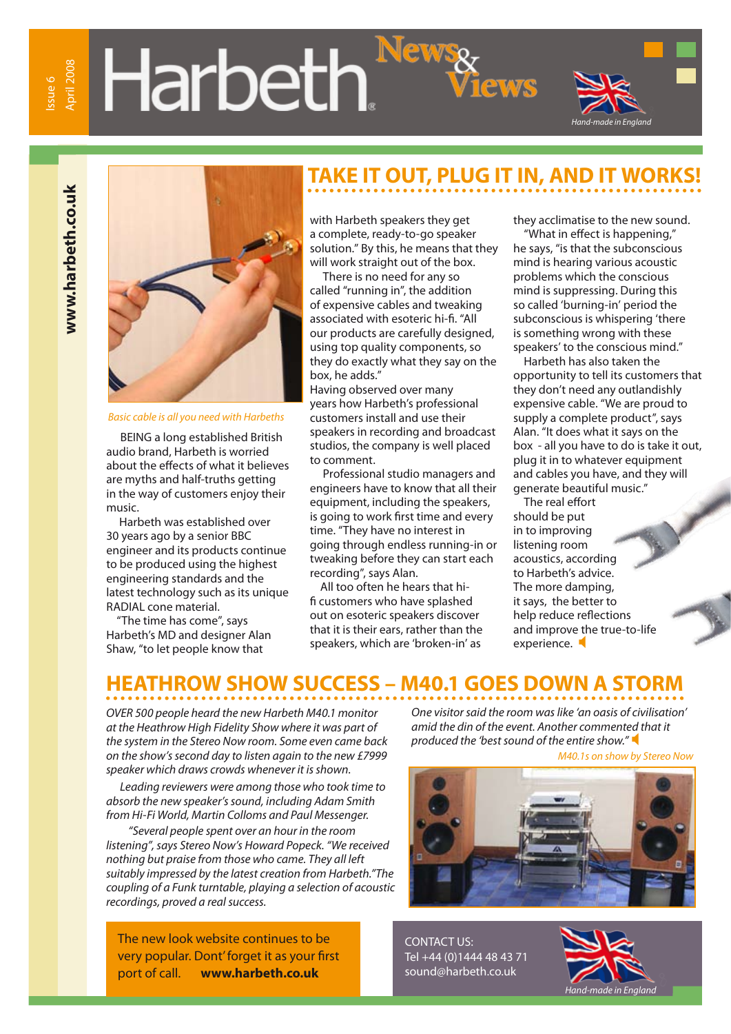# **Harbeth**



www.harbeth.co.uk **www.harbeth.co.uk**



#### *Basic cable is all you need with Harbeths*

BEING a long established British audio brand, Harbeth is worried about the effects of what it believes are myths and half-truths getting in the way of customers enjoy their music.

 Harbeth was established over 30 years ago by a senior BBC engineer and its products continue to be produced using the highest engineering standards and the latest technology such as its unique RADIAL cone material.

 "The time has come", says Harbeth's MD and designer Alan Shaw, "to let people know that

### **TAKE IT OUT, PLUG IT IN, AND IT WORKS!**

with Harbeth speakers they get a complete, ready-to-go speaker solution." By this, he means that they will work straight out of the box.

 There is no need for any so called "running in", the addition of expensive cables and tweaking associated with esoteric hi-fi. "All our products are carefully designed, using top quality components, so they do exactly what they say on the box, he adds."

Having observed over many years how Harbeth's professional customers install and use their speakers in recording and broadcast studios, the company is well placed to comment.

 Professional studio managers and engineers have to know that all their equipment, including the speakers, is going to work first time and every time. "They have no interest in going through endless running-in or tweaking before they can start each recording", says Alan.

 All too often he hears that hifi customers who have splashed out on esoteric speakers discover that it is their ears, rather than the speakers, which are 'broken-in' as

they acclimatise to the new sound.

 "What in effect is happening," he says, "is that the subconscious mind is hearing various acoustic problems which the conscious mind is suppressing. During this so called 'burning-in' period the subconscious is whispering 'there is something wrong with these speakers' to the conscious mind."

 Harbeth has also taken the opportunity to tell its customers that they don't need any outlandishly expensive cable. "We are proud to supply a complete product", says Alan. "It does what it says on the box - all you have to do is take it out, plug it in to whatever equipment and cables you have, and they will generate beautiful music."

 The real effort should be put in to improving listening room acoustics, according to Harbeth's advice. The more damping, it says, the better to help reduce reflections and improve the true-to-life experience.

#### **HEATHROW SHOW SUCCESS – M40.1 GOES DOWN A STORM**

*OVER 500 people heard the new Harbeth M40.1 monitor at the Heathrow High Fidelity Show where it was part of the system in the Stereo Now room. Some even came back on the show's second day to listen again to the new £7999 speaker which draws crowds whenever it is shown.*

*Leading reviewers were among those who took time to absorb the new speaker's sound, including Adam Smith from Hi-Fi World, Martin Colloms and Paul Messenger.*

*"Several people spent over an hour in the room listening", says Stereo Now's Howard Popeck. "We received nothing but praise from those who came. They all left suitably impressed by the latest creation from Harbeth."The coupling of a Funk turntable, playing a selection of acoustic recordings, proved a real success.* 

The new look website continues to be very popular. Dont' forget it as your first port of call. **www.harbeth.co.uk**

*One visitor said the room was like 'an oasis of civilisation' amid the din of the event. Another commented that it produced the 'best sound of the entire show."* 



CONTACT US: Tel +44 (0)1444 48 43 71 sound@harbeth.co.uk